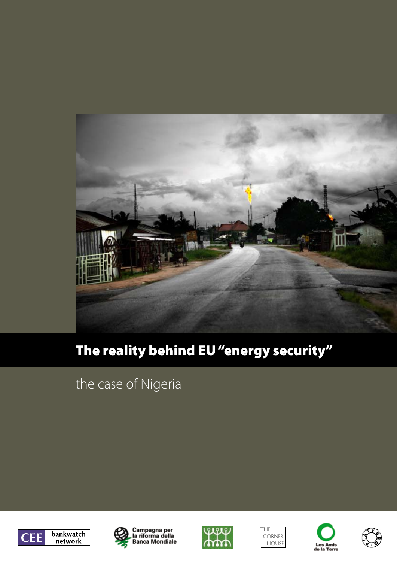

# The reality behind EU "energy security"

# the case of Nigeria











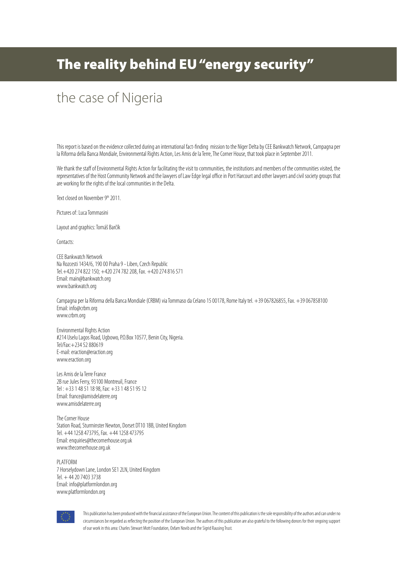## The reality behind EU "energy security"

## the case of Nigeria

This report is based on the evidence collected during an international fact-finding mission to the Niger Delta by CEE Bankwatch Network, Campagna per la Riforma della Banca Mondiale, Environmental Rights Action, Les Amis de la Terre, The Corner House, that took place in September 2011.

We thank the staff of Environmental Rights Action for facilitating the visit to communities, the institutions and members of the communities visited, the representatives of the Host Community Network and the lawyers of Law Edge legal office in Port Harcourt and other lawyers and civil society groups that are working for the rights of the local communities in the Delta.

Text closed on November 9th 2011.

Pictures of: Luca Tommasini

Layout and graphics: Tomáš Barčík

Contacts:

CEE Bankwatch Network Na Rozcesti 1434/6, 190 00 Praha 9 - Liben, Czech Republic Tel.+420 274 822 150; +420 274 782 208, Fax. +420 274 816 571 Email: main@bankwatch.org www.bankwatch.org

Campagna per la Riforma della Banca Mondiale (CRBM) via Tommaso da Celano 15 00178, Rome Italy tel. +39 067826855, Fax. +39 067858100 Email: info@crbm.org www.crbm.org

Environmental Rights Action #214 Uselu Lagos Road, Ugbowo, P.O.Box 10577, Benin City, Nigeria. Tel/Fax:+234 52 880619 E-mail: eraction@eraction.org www.eraction.org

Les Amis de la Terre France 2B rue Jules Ferry, 93100 Montreuil, France Tel : +33 1 48 51 18 98, Fax: +33 1 48 51 95 12 Email: france@amisdelaterre.org www.amisdelaterre.org

The Corner House Station Road, Sturminster Newton, Dorset DT10 1BB, United Kingdom Tel. +44 1258 473795, Fax. +44 1258 473795 Email: enquiries@thecornerhouse.org.uk www.thecornerhouse.org.uk

PLATFORM 7 Horselydown Lane, London SE1 2LN, United Kingdom Tel. + 44 20 7403 3738 Email: info@platformlondon.org www.platformlondon.org



This publication has been produced with the financial assistance of the European Union. The content of this publication is the sole responsibility of the authors and can under no circumstances be regarded as reflecting the position of the European Union. The authors of this publication are also grateful to the following donors for their ongoing support of our work in this area: Charles Stewart Mott Foundation, Oxfam Novib and the Sigrid Rausing Trust.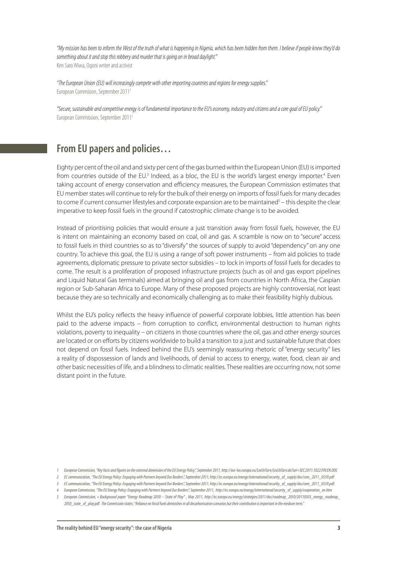"My mission has been to inform the West of the truth of what is happening in Nigeria, which has been hidden from them. I believe if people knew they'd do something about it and stop this robbery and murder that is going on in broad daylight." Ken Saro Wiwa, Ogoni writer and activist

"The European Union (EU) will increasingly compete with other importing countries and regions for energy supplies." European Commision, September 20111

"Secure, sustainable and competitive energy is of fundamental importance to the EU's economy, industry and citizens and a core goal of EU policy." European Commission, September 20112

### **From EU papers and policies…**

Eighty per cent of the oil and and sixty per cent of the gas burned within the European Union (EU) is imported from countries outside of the EU.<sup>3</sup> Indeed, as a bloc, the EU is the world's largest energy importer.<sup>4</sup> Even taking account of energy conservation and efficiency measures, the European Commission estimates that EU member states will continue to rely for the bulk of their energy on imports of fossil fuels for many decades to come if current consumer lifestyles and corporate expansion are to be maintained<sup>5</sup> – this despite the clear imperative to keep fossil fuels in the ground if catostrophic climate change is to be avoided.

Instead of prioritising policies that would ensure a just transition away from fossil fuels, however, the EU is intent on maintaining an economy based on coal, oil and gas. A scramble is now on to "secure" access to fossil fuels in third countries so as to "diversify" the sources of supply to avoid "dependency" on any one country. To achieve this goal, the EU is using a range of soft power instruments – from aid policies to trade agreements, diplomatic pressure to private sector subsidies – to lock in imports of fossil fuels for decades to come. The result is a proliferation of proposed infrastructure projects (such as oil and gas export pipelines and Liquid Natural Gas terminals) aimed at bringing oil and gas from countries in North Africa, the Caspian region or Sub-Saharan Africa to Europe. Many of these proposed projects are highly controversial, not least because they are so technically and economically challenging as to make their feasibility highly dubious.

Whilst the EU's policy reflects the heavy influence of powerful corporate lobbies, little attention has been paid to the adverse impacts – from corruption to conflict, environmental destruction to human rights violations, poverty to inequality – on citizens in those countries where the oil, gas and other energy sources are located or on efforts by citizens worldwide to build a transition to a just and sustainable future that does not depend on fossil fuels. Indeed behind the EU's seemingly reassuring rhetoric of "energy security" lies a reality of dispossession of lands and livelihoods, of denial to access to energy, water, food, clean air and other basic necessities of life, and a blindness to climatic realities. These realities are occurring now, not some distant point in the future.

<sup>1</sup> European Commission, "Key facts and figures on the external dimension of the EU Energy Policy", September 2011, http://eur-lex.europa.eu/LexUriServ./LexUriServ.do?uri=SEC:2011:1022:FIN:EN:DOC

<sup>2</sup> ECcommunication,"TheEU EnergyPolicy:Engaging withPartnersbeyond Our Borders",September2011,http://ec.europa.eu/energy/international/security\_of\_supply/doc/com\_2011\_0539.pdf

<sup>3</sup> EC communication, "The EU Energy Policy: Engaging with Partners beyond Our Borders", September 2011, http://ec.europa.eu/energy/international/security\_of\_supply/doc/com\_2011\_0539.pdf.

<sup>4</sup> European Commission, "The EU Energy Policy: Engaging with Partners beyond Our Borders", September 2011, http://ec.europa.eu/energy/international/security\_of\_supply/cooperation\_en.htm

<sup>5</sup> European Commission, « Background paper "Energy Roadmap 2050 – State of Play" , May 2011, http://ec.europa.eu/energy/strategies/2011/doc/roadmap\_2050/20110503\_energy\_roadmap\_ 2050 state of play.pdf. The Commission states: "Reliance on fossil fuels diminishes in all decarbonisation scenarios but their contribution is important in the medium term."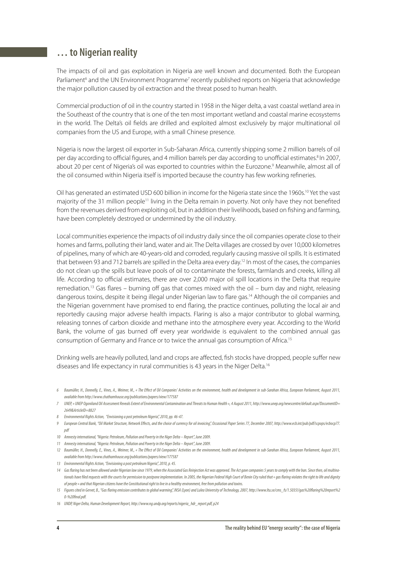### **… to Nigerian reality**

The impacts of oil and gas exploitation in Nigeria are well known and documented. Both the European Parliament<sup>6</sup> and the UN Environment Programme<sup>7</sup> recently published reports on Nigeria that acknowledge the major pollution caused by oil extraction and the threat posed to human health.

Commercial production of oil in the country started in 1958 in the Niger delta, a vast coastal wetland area in the Southeast of the country that is one of the ten most important wetland and coastal marine ecosystems in the world. The Delta's oil fields are drilled and exploited almost exclusively by major multinational oil companies from the US and Europe, with a small Chinese presence.

Nigeria is now the largest oil exporter in Sub-Saharan Africa, currently shipping some 2 million barrels of oil per day according to official figures, and 4 million barrels per day according to unofficial estimates.<sup>8</sup> In 2007, about 20 per cent of Nigeria's oil was exported to countries within the Eurozone.<sup>9</sup> Meanwhile, almost all of the oil consumed within Nigeria itself is imported because the country has few working refineries.

Oil has generated an estimated USD 600 billion in income for the Nigeria state since the 1960s.<sup>10</sup> Yet the vast majority of the 31 million people<sup>11</sup> living in the Delta remain in poverty. Not only have they not benefited from the revenues derived from exploiting oil, but in addition their livelihoods, based on fishing and farming, have been completely destroyed or undermined by the oil industry.

Local communities experience the impacts of oil industry daily since the oil companies operate close to their homes and farms, polluting their land, water and air. The Delta villages are crossed by over 10,000 kilometres of pipelines, many of which are 40-years-old and corroded, regularly causing massive oil spills. It is estimated that between 93 and 712 barrels are spilled in the Delta area every day.12 In most of the cases, the companies do not clean up the spills but leave pools of oil to contaminate the forests, farmlands and creeks, killing all life. According to official estimates, there are over 2,000 major oil spill locations in the Delta that require remediation.<sup>13</sup> Gas flares – burning off gas that comes mixed with the oil – burn day and night, releasing dangerous toxins, despite it being illegal under Nigerian law to flare gas.<sup>14</sup> Although the oil companies and the Nigerian government have promised to end flaring, the practice continues, polluting the local air and reportedly causing major adverse health impacts. Flaring is also a major contributor to global warming, releasing tonnes of carbon dioxide and methane into the atmosphere every year. According to the World Bank, the volume of gas burned off every year worldwide is equivalent to the combined annual gas consumption of Germany and France or to twice the annual gas consumption of Africa.15

Drinking wells are heavily polluted, land and crops are affected, fish stocks have dropped, people suffer new diseases and life expectancy in rural communities is 43 years in the Niger Delta.<sup>16</sup>

- 8 Environmental Rights Action, "Envisioning a post petroleum Nigeria", 2010, pp. 46-47.
- 9 European Central Bank, "Oil Market Structure, Network Effects, and the choice of currency for oil invoicing", Occasional Paper Series 77, December 2007, http://www.ecb.int/pub/pdf/scpops/ecbocp77. pdf
- 10 Amnesty international, "Nigeria: Petroleum, Pollution and Poverty in the Niger Delta Report", June 2009.
- 11 Amnesty international, "Nigeria: Petroleum, Pollution and Poverty in the Niger Delta Report", June 2009.
- 12 Baumüller, H., Donnelly, E., Vines, A., Weimer, M., « The Effect of Oil Companies' Activities on the environment, health and development in sub-Sarahan Africa, European Parliament, August 2011, available from http://www.chathamhouse.org/publications/papers/view/177587
- 13 Environmental Rights Action, "Envisioning a post petroleum Nigeria", 2010, p. 45.
- 14 Gas flaring has not been allowed under Nigerian law since 1979, when the Associated Gas Reinjection Act was approved. The Act gave companies 5 years to comply with the ban. Since then, oil multinationals have filed requests with the courts for permission to postpone implementation. In 2005, the Nigerian Federal High Court of Benin City ruled that « qas flaring violates the right to life and dignity of people » and that Nigerian citizens have the Constitutional right to live in a healthy environment, free from pollution and toxins.
- 15 Figurescitedin Gervet, B.,"Gas #aringemissioncontributes toglobal warming", INSA (Lyon)andLulea UniversityofTechnology,2007,http://www.ltu.se/cms\_fs/1.5035!/gas%20#aring%20report%2  $0-9620$ final ndf
- 16 UNDP, Niger Delta, Human Development Report, http://www.ng.undp.org/reports/nigeria\_hdr\_report.pdf, p24

<sup>6</sup> Baumüller, H., Donnelly, E., Vines, A., Weimer, M., « The E"ect of Oil Companies' Activities on the environment, health and development in sub-Sarahan Africa, European Parliament, August 2011, available from http://www.chathamhouse.org/publications/papers/view/177587

<sup>7</sup> UNEP « UNEP Ogoniland Oil Assessment Reveals Extent of Environmental Contamination and Threats to Human Health », 4 August 2011, http://www.unep.org/newscentre/default.aspx?DocumentID= 2649&ArticleID=8827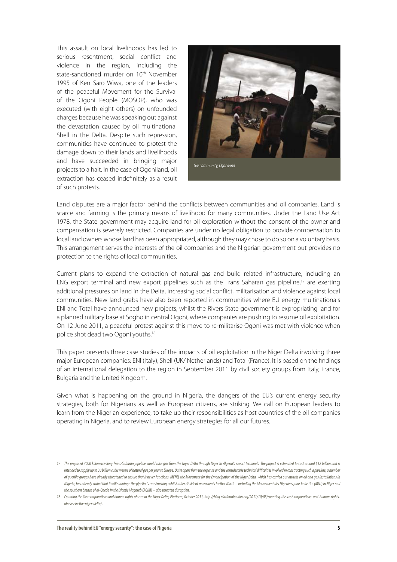This assault on local livelihoods has led to serious resentment, social conflict and violence in the region, including the state-sanctioned murder on 10<sup>th</sup> November 1995 of Ken Saro Wiwa, one of the leaders of the peaceful Movement for the Survival of the Ogoni People (MOSOP), who was executed (with eight others) on unfounded charges because he was speaking out against the devastation caused by oil multinational Shell in the Delta. Despite such repression, communities have continued to protest the damage down to their lands and livelihoods and have succeeded in bringing major projects to a halt. In the case of Ogoniland, oil extraction has ceased indefinitely as a result of such protests.



Land disputes are a major factor behind the conflicts between communities and oil companies. Land is scarce and farming is the primary means of livelihood for many communities. Under the Land Use Act 1978, the State government may acquire land for oil exploration without the consent of the owner and compensation is severely restricted. Companies are under no legal obligation to provide compensation to local land owners whose land has been appropriated, although they may chose to do so on a voluntary basis. This arrangement serves the interests of the oil companies and the Nigerian government but provides no protection to the rights of local communities.

Current plans to expand the extraction of natural gas and build related infrastructure, including an LNG export terminal and new export pipelines such as the Trans Saharan gas pipeline,<sup>17</sup> are exerting additional pressures on land in the Delta, increasing social conflict, militarisation and violence against local communities. New land grabs have also been reported in communities where EU energy multinationals ENI and Total have announced new projects, whilst the Rivers State government is expropriating land for a planned military base at Sogho in central Ogoni, where companies are pushing to resume oil exploitation. On 12 June 2011, a peaceful protest against this move to re-militarise Ogoni was met with violence when police shot dead two Ogoni youths.18

This paper presents three case studies of the impacts of oil exploitation in the Niger Delta involving three major European companies: ENI (Italy), Shell (UK/ Netherlands) and Total (France). It is based on the findings of an international delegation to the region in September 2011 by civil society groups from Italy, France, Bulgaria and the United Kingdom.

Given what is happening on the ground in Nigeria, the dangers of the EU's current energy security strategies, both for Nigerians as well as European citizens, are striking. We call on European leaders to learn from the Nigerian experience, to take up their responsibilities as host countries of the oil companies operating in Nigeria, and to review European energy strategies for all our futures.

<sup>17</sup> The proposed 4000 kilometre-long Trans-Saharan pipeline would take gas from the Niger belta through Niger to Algeria's export terminals. The project is estimated to cost around \$12 billion and is intended to supply up to 30 billion cubic meters of natural gas per year to Europe. Quite apart from the expense and the considerable technical difficulties involved in constructing such a pipeline, a number of querilla groups have already threatened to ensure that it never functions. MEND, the Movement for the Emancipation of the Niger Delta, which has carried out attacks on oil and gas installations in Nigeria, has already stated that it will sabotage the pipeline's construction, whilst other dissident movements further North – including the Mouvement des Nigeriens pour la Justice (MNJ) in Niger and the southern branch of al-Qaeda in the Islamic Maghreb (AQIM) – also threaten disruption.

<sup>18</sup> CountingtheCost: corporationsandhumanrightsabuses inthe Niger Delta,Platform, October2011,http://blog.platformlondon.org/2011/10/03/counting-the-cost-corporations-and-human-rightsabuses-in-the-niger-delta/.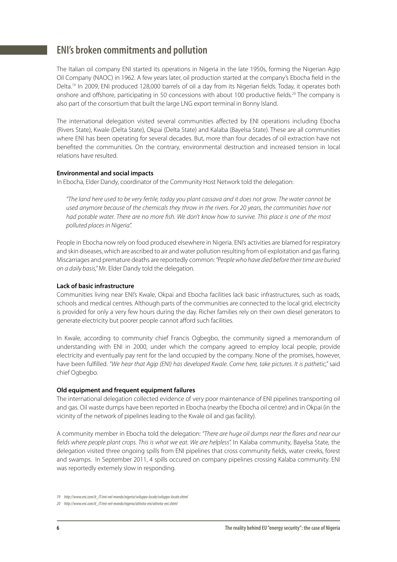## **ENI's broken commitments and pollution**

The Italian oil company ENI started its operations in Nigeria in the late 1950s, forming the Nigerian Agip Oil Company (NAOC) in 1962. A few years later, oil production started at the company's Ebocha field in the Delta.<sup>19</sup> In 2009, ENI produced 128,000 barrels of oil a day from its Nigerian fields. Today, it operates both onshore and offshore, participating in 50 concessions with about 100 productive fields.<sup>20</sup> The company is also part of the consortium that built the large LNG export terminal in Bonny Island.

The international delegation visited several communities affected by ENI operations including Ebocha (Rivers State), Kwale (Delta State), Okpai (Delta State) and Kalaba (Bayelsa State). These are all communities where ENI has been operating for several decades. But, more than four decades of oil extraction have not benefited the communities. On the contrary, environmental destruction and increased tension in local relations have resulted.

#### **Environmental and social impacts**

In Ebocha, Elder Dandy, coordinator of the Community Host Network told the delegation:

"The land here used to be very fertile, today you plant cassava and it does not grow. The water cannot be used anymore because of the chemicals they throw in the rivers. For 20 years, the communities have not had potable water. There are no more fish. We don't know how to survive. This place is one of the most polluted places in Nigeria".

People in Ebocha now rely on food produced elsewhere in Nigeria. ENI's activities are blamed for respiratory and skin diseases, which are ascribed to air and water pollution resulting from oil exploitation and gas flaring. Miscarriages and premature deaths are reportedly common: "People who have died before their time are buried on a daily basis," Mr. Elder Dandy told the delegation.

#### **Lack of basic infrastructure**

Communities living near ENI's Kwale, Okpai and Ebocha facilities lack basic infrastructures, such as roads, schools and medical centres. Although parts of the communities are connected to the local grid, electricity is provided for only a very few hours during the day. Richer families rely on their own diesel generators to generate electricity but poorer people cannot afford such facilities.

In Kwale, according to community chief Francis Ogbegbo, the community signed a memorandum of understanding with ENI in 2000, under which the company agreed to employ local people, provide electricity and eventually pay rent for the land occupied by the company. None of the promises, however, have been fulfilled. "We hear that Agip (ENI) has developed Kwale. Come here, take pictures. It is pathetic," said chief Ogbegbo.

#### **Old equipment and frequent equipment failures**

The international delegation collected evidence of very poor maintenance of ENI pipelines transporting oil and gas. Oil waste dumps have been reported in Ebocha (nearby the Ebocha oil centre) and in Okpai (in the vicinity of the network of pipelines leading to the Kwale oil and gas facility).

A community member in Ebocha told the delegation: "There are huge oil dumps near the flares and near our fields where people plant crops. This is what we eat. We are helpless". In Kalaba community, Bayelsa State, the delegation visited three ongoing spills from ENI pipelines that cross community fields, water creeks, forest and swamps. In September 2011, 4 spills occured on company pipelines crossing Kalaba community. ENI was reportedly extemely slow in responding.

<sup>19</sup> http://www.eni.com/it\_IT/eni-nel-mondo/nigeria/sviluppo-locale/sviluppo-locale.shtml

<sup>20</sup> http://www.eni.com/it\_IT/eni-nel-mondo/nigeria/attivita-eni/attivita-eni.shtml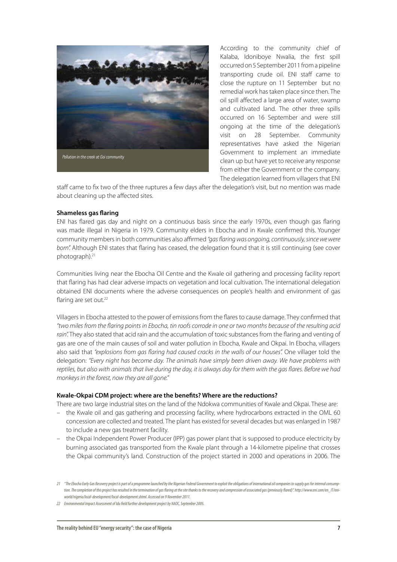

According to the community chief of Kalaba, Idoniboye Nwalia, the first spill occurred on 5 September 2011 from a pipeline transporting crude oil. ENI staff came to close the rupture on 11 September but no remedial work has taken place since then. The oil spill affected a large area of water, swamp and cultivated land. The other three spills occurred on 16 September and were still ongoing at the time of the delegation's visit on 28 September. Community representatives have asked the Nigerian Government to implement an immediate clean up but have yet to receive any response from either the Government or the company. The delegation learned from villagers that ENI

staff came to fix two of the three ruptures a few days after the delegation's visit, but no mention was made about cleaning up the affected sites.

#### **Shameless gas flaring**

ENI has flared gas day and night on a continuous basis since the early 1970s, even though gas flaring was made illegal in Nigeria in 1979. Community elders in Ebocha and in Kwale confirmed this. Younger community members in both communities also affirmed "gas flaring was ongoing, continuously, since we were born". Although ENI states that flaring has ceased, the delegation found that it is still continuing (see cover photograph).21

Communities living near the Ebocha Oil Centre and the Kwale oil gathering and processing facility report that flaring has had clear adverse impacts on vegetation and local cultivation. The international delegation obtained ENI documents where the adverse consequences on people's health and environment of gas flaring are set out.<sup>22</sup>

Villagers in Ebocha attested to the power of emissions from the flares to cause damage. They confirmed that "two miles from the "aring points in Ebocha, tin roofs corrode in one or two months because of the resulting acid rain". They also stated that acid rain and the accumulation of toxic substances from the flaring and venting of gas are one of the main causes of soil and water pollution in Ebocha, Kwale and Okpai. In Ebocha, villagers also said that "explosions from gas flaring had caused cracks in the walls of our houses". One villager told the delegation: "Every night has become day. The animals have simply been driven away. We have problems with reptiles, but also with animals that live during the day, it is always day for them with the gas flares. Before we had monkeys in the forest, now they are all gone."

#### Kwale-Okpai CDM project: where are the benefits? Where are the reductions?

There are two large industrial sites on the land of the Ndokwa communities of Kwale and Okpai. These are:

- the Kwale oil and gas gathering and processing facility, where hydrocarbons extracted in the OML 60 concession are collected and treated. The plant has existed for several decades but was enlarged in 1987 to include a new gas treatment facility.
- the Okpai Independent Power Producer (IPP) gas power plant that is supposed to produce electricity by burning associated gas transported from the Kwale plant through a 14-kilometre pipeline that crosses the Okpai community's land. Construction of the project started in 2000 and operations in 2006. The

<sup>21 &</sup>quot;The Ebocha Early Gas Recovery project is part of a programme launched by the Nigerian Federal Government to exploit the obligations of international oil companies to supply gas for internal consumption. The completion of this project has resulted in the termination of gas flaring at the site thanks to the recovery and compression of associated gas (previously flared)". http://www.eni.com/en\_IT/eniworld/nigeria/local-development/local-development.shtml. Accessed on 9 November 2011.

<sup>22</sup> Environmental Impact Assessment of Idu field further development project by NAOC, September 2005.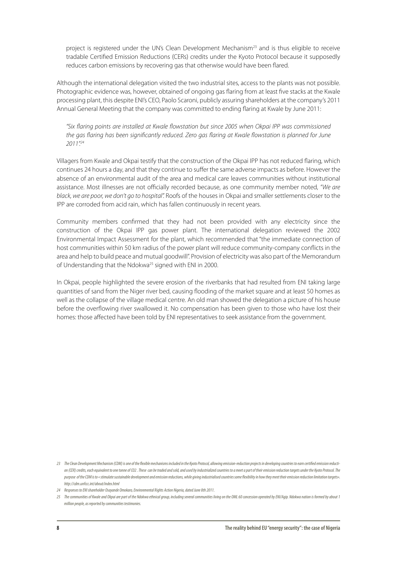project is registered under the UN's Clean Development Mechanism<sup>23</sup> and is thus eligible to receive tradable Certified Emission Reductions (CERs) credits under the Kyoto Protocol because it supposedly reduces carbon emissions by recovering gas that otherwise would have been flared.

Although the international delegation visited the two industrial sites, access to the plants was not possible. Photographic evidence was, however, obtained of ongoing gas flaring from at least five stacks at the Kwale processing plant, this despite ENI's CEO, Paolo Scaroni, publicly assuring shareholders at the company's 2011 Annual General Meeting that the company was committed to ending flaring at Kwale by June 2011:

"Six flaring points are installed at Kwale flowstation but since 2005 when Okpai IPP was commissioned the gas flaring has been significantly reduced. Zero gas flaring at Kwale flowstation is planned for June 2011"24

Villagers from Kwale and Okpai testify that the construction of the Okpai IPP has not reduced flaring, which continues 24 hours a day, and that they continue to suffer the same adverse impacts as before. However the absence of an environmental audit of the area and medical care leaves communities without institutional assistance. Most illnesses are not officially recorded because, as one community member noted, "We are black, we are poor, we don't go to hospital". Roofs of the houses in Okpai and smaller settlements closer to the IPP are corroded from acid rain, which has fallen continuously in recent years.

Community members confirmed that they had not been provided with any electricity since the construction of the Okpai IPP gas power plant. The international delegation reviewed the 2002 Environmental Impact Assessment for the plant, which recommended that "the immediate connection of host communities within 50 km radius of the power plant will reduce community-company conflicts in the area and help to build peace and mutual goodwill". Provision of electricity was also part of the Memorandum of Understanding that the Ndokwa<sup>25</sup> signed with ENI in 2000.

In Okpai, people highlighted the severe erosion of the riverbanks that had resulted from ENI taking large quantities of sand from the Niger river bed, causing flooding of the market square and at least 50 homes as well as the collapse of the village medical centre. An old man showed the delegation a picture of his house before the overflowing river swallowed it. No compensation has been given to those who have lost their homes: those affected have been told by ENI representatives to seek assistance from the government.

<sup>23</sup> The Clean Development Mechanism (CDM) is one of the flexible mechanisms included in the Kyoto Protocol, allowing emission-reduction projects in developing countries to earn certified emission reduction (CER) credits, each equivalent to one tonne of CO2. These can be traded and sold, and used by industrialized countries to a meet a part of their emission reduction targets under the Kyoto Protocol. The purpose of the CDM is to «stimulate sustainable development and emission reductions, while giving industrialised countries some flexibility in how they meet their emission reduction limitation targets». http://cdm.unfccc.int/about/index.html

<sup>24</sup> Responses to ENI shareholder Osayande Omokaro, Environmental Rights Action Nigeria, dated June 8th 2011.

<sup>25</sup> The communities of Kwale and Okpai are part of the Ndokwa ethnical group, including several communities living on the OML 60 concession operated by ENI/Aqip. Ndokwa nation is formed by about 1 million people, as reported by communities testimonies.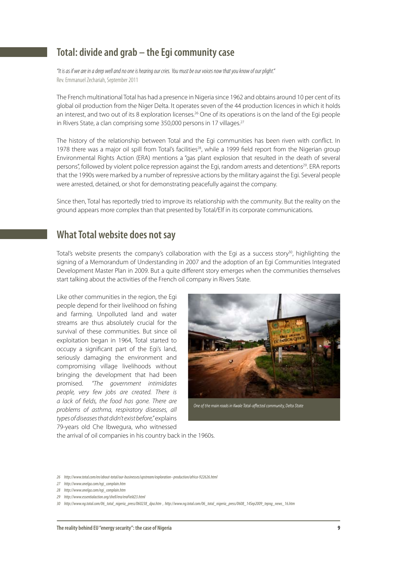## **Total: divide and grab – the Egi community case**

"It is as if we are in a deep well and no one is hearing our cries. You must be our voices now that you know of our plight." Rev. Emmanuel Zechariah, September 2011

The French multinational Total has had a presence in Nigeria since 1962 and obtains around 10 per cent of its global oil production from the Niger Delta. It operates seven of the 44 production licences in which it holds an interest, and two out of its 8 exploration licenses.<sup>26</sup> One of its operations is on the land of the Egi people in Rivers State, a clan comprising some 350,000 persons in 17 villages.<sup>27</sup>

The history of the relationship between Total and the Egi communities has been riven with conflict. In 1978 there was a major oil spill from Total's facilities<sup>28</sup>, while a 1999 field report from the Nigerian group Environmental Rights Action (ERA) mentions a "gas plant explosion that resulted in the death of several persons", followed by violent police repression against the Egi, random arrests and detentions<sup>29</sup>. ERA reports that the 1990s were marked by a number of repressive actions by the military against the Egi. Several people were arrested, detained, or shot for demonstrating peacefully against the company.

Since then, Total has reportedly tried to improve its relationship with the community. But the reality on the ground appears more complex than that presented by Total/Elf in its corporate communications.

## **What Total website does not say**

Total's website presents the company's collaboration with the Egi as a success story<sup>30</sup>, highlighting the signing of a Memorandum of Understanding in 2007 and the adoption of an Egi Communities Integrated Development Master Plan in 2009. But a quite different story emerges when the communities themselves start talking about the activities of the French oil company in Rivers State.

Like other communities in the region, the Egi people depend for their livelihood on fishing and farming. Unpolluted land and water streams are thus absolutely crucial for the survival of these communities. But since oil exploitation began in 1964, Total started to occupy a significant part of the Egi's land, seriously damaging the environment and compromising village livelihoods without bringing the development that had been promised. "The government intimidates people, very few jobs are created. There is a lack of fields, the food has gone. There are problems of asthma, respiratory diseases, all types of diseases that didn't exist before," explains 79-years old Che Ibwegura, who witnessed



the arrival of oil companies in his country back in the 1960s.

- 26 http://www.total.com/en/about-total/our-businesses/upstream/exploration--production/africa-922626.html
- 27 http://www.onelga.com/egi\_complain.htm
- 28 http://www.onelga.com/egi\_complain.htm
- 29 http://www.essentialaction.org/shell/era/eraField23.html

<sup>30</sup> http://www.ng.total.com/06\_total\_nigeria\_press/060238\_dpa.htm , http://www.ng.total.com/06\_total\_nigeria\_press/0608\_14Sep2009\_tepng\_news\_16.htm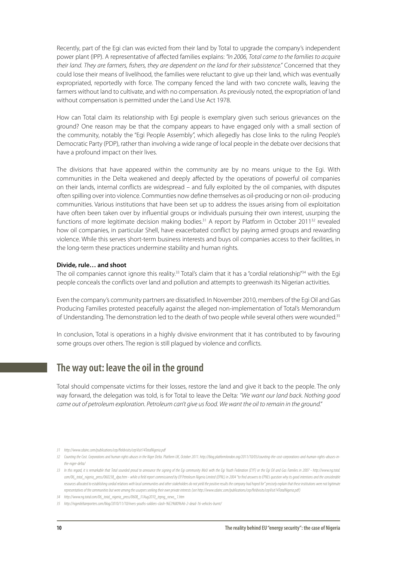Recently, part of the Egi clan was evicted from their land by Total to upgrade the company's independent power plant (IPP). A representative of affected families explains: "In 2006, Total came to the families to acquire their land. They are farmers, fishers, they are dependent on the land for their subsistence." Concerned that they could lose their means of livelihood, the families were reluctant to give up their land, which was eventually expropriated, reportedly with force. The company fenced the land with two concrete walls, leaving the farmers without land to cultivate, and with no compensation. As previously noted, the expropriation of land without compensation is permitted under the Land Use Act 1978.

How can Total claim its relationship with Egi people is exemplary given such serious grievances on the ground? One reason may be that the company appears to have engaged only with a small section of the community, notably the "Egi People Assembly", which allegedly has close links to the ruling People's Democratic Party (PDP), rather than involving a wide range of local people in the debate over decisions that have a profound impact on their lives.

The divisions that have appeared within the community are by no means unique to the Egi. With communities in the Delta weakened and deeply affected by the operations of powerful oil companies on their lands, internal conflicts are widespread – and fully exploited by the oil companies, with disputes often spilling over into violence. Communties now define themselves as oil-producing or non oil- producing communities. Various institutions that have been set up to address the issues arising from oil exploitation have often been taken over by influential groups or individuals pursuing their own interest, usurping the functions of more legitimate decision making bodies.<sup>31</sup> A report by Platform in October 2011<sup>32</sup> revealed how oil companies, in particular Shell, have exacerbated conflict by paying armed groups and rewarding violence. While this serves short-term business interests and buys oil companies access to their facilities, in the long-term these practices undermine stability and human rights.

#### **Divide, rule… and shoot**

The oil companies cannot ignore this reality.<sup>33</sup> Total's claim that it has a "cordial relationship"<sup>34</sup> with the Egi people conceals the conflicts over land and pollution and attempts to greenwash its Nigerian activities.

Even the company's community partners are dissatisfied. In November 2010, members of the Egi Oil and Gas Producing Families protested peacefully against the alleged non-implementation of Total's Memorandum of Understanding. The demonstration led to the death of two people while several others were wounded.<sup>35</sup>

In conclusion, Total is operations in a highly divisive environment that it has contributed to by favouring some groups over others. The region is still plagued by violence and conflicts.

### **The way out: leave the oil in the ground**

Total should compensate victims for their losses, restore the land and give it back to the people. The only way forward, the delegation was told, is for Total to leave the Delta: "We want our land back. Nothing good came out of petroleum exploration. Petroleum can't give us food. We want the oil to remain in the ground."

<sup>31</sup> http://www.cdainc.com/publications/cep/fieldvisits/cepVisit14TotalNigeria.pdf

<sup>32</sup> Counting the Cost. Corporations and human rights abuses in the Niger Delta. Platform UK, October 2011. http://blog.platformlondon.org/2011/10/03/counting-the-cost-corporations-and-human-rights-abuses-inthe-niger-delta/

<sup>33</sup> In this regard, it is remarkable that Total sounded proud to announce the signing of the Egi community MoU with the Egi Youth Federation (EYF) or the Egi Oil and Gas Families in 2007 - http://www.ng.total. com/06\_total\_nigeria\_press/060238\_dpa.htm - while a field report commissioned by Elf Petroleum Nigeria Limited (EPNL) in 2004 "to find answers to EPNL's question why its good intentions and the considerable resources allocated to establishing cordial relations with local communities and other stakeholders do not yield the positive results the company had hoped for" precisely explain that these institutions were not lrgitimate representatives of the communities but were among the usurpers seeking their own private interests (see http://www.cdainc.com/publications/cep/fieldvisits/cepVisit14TotalNigeria.pdf)

<sup>34</sup> http://www.ng.total.com/06\_total\_nigeria\_press/0608\_31Aug2010\_tepng\_news\_1.htm

<sup>35</sup> http://nigerdeltareporters.com/blog/2010/11/10/rivers-youths-soldiers-clash-%E2%80%A6-2-dead-16-vehicles-burnt/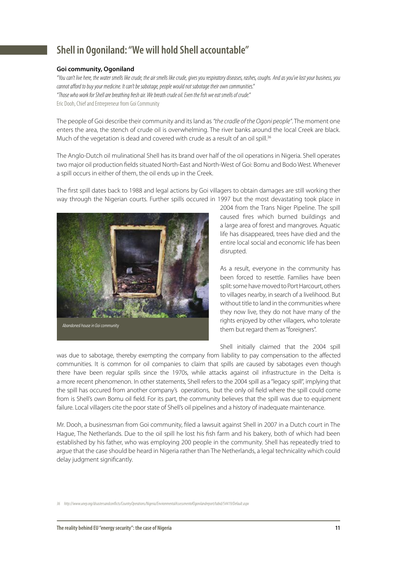## **Shell in Ogoniland: "We will hold Shell accountable"**

#### **Goi community, Ogoniland**

"You can't live here, the water smells like crude, the air smells like crude, gives you respiratory diseases, rashes, coughs. And as you've lost your business, you cannot afford to buy your medicine. It can't be sabotage, people would not sabotage their own communities." "Those who work for Shell are breathing fresh air. We breath crude oil. Even the fish we eat smells of crude." Eric Dooh, Chief and Entrepreneur from Goi Community

The people of Goi describe their community and its land as "the cradle of the Ogoni people". The moment one enters the area, the stench of crude oil is overwhelming. The river banks around the local Creek are black. Much of the vegetation is dead and covered with crude as a result of an oil spill.<sup>36</sup>

The Anglo-Dutch oil mulinational Shell has its brand over half of the oil operations in Nigeria. Shell operates two major oil production fields situated North-East and North-West of Goi: Bomu and Bodo West. Whenever a spill occurs in either of them, the oil ends up in the Creek.

The first spill dates back to 1988 and legal actions by Goi villagers to obtain damages are still working ther way through the Nigerian courts. Further spills occured in 1997 but the most devastating took place in



2004 from the Trans Niger Pipeline. The spill caused fires which burned buildings and a large area of forest and mangroves. Aquatic life has disappeared, trees have died and the entire local social and economic life has been disrupted.

As a result, everyone in the community has been forced to resettle. Families have been split: some have moved to Port Harcourt, others to villages nearby, in search of a livelihood. But without title to land in the communities where they now live, they do not have many of the rights enjoyed by other villagers, who tolerate them but regard them as "foreigners".

Shell initially claimed that the 2004 spill

was due to sabotage, thereby exempting the company from liability to pay compensation to the affected communities. It is common for oil companies to claim that spills are caused by sabotages even though there have been regular spills since the 1970s, while attacks against oil infrastructure in the Delta is a more recent phenomenon. In other statements, Shell refers to the 2004 spill as a "legacy spill", implying that the spill has occured from another company's operations, but the only oil field where the spill could come from is Shell's own Bomu oil field. For its part, the community believes that the spill was due to equipment failure. Local villagers cite the poor state of Shell's oil pipelines and a history of inadequate maintenance.

Mr. Dooh, a businessman from Goi community, filed a lawsuit against Shell in 2007 in a Dutch court in The Hague, The Netherlands. Due to the oil spill he lost his fish farm and his bakery, both of which had been established by his father, who was employing 200 people in the community. Shell has repeatedly tried to argue that the case should be heard in Nigeria rather than The Netherlands, a legal technicality which could delay judgment significantly.

<sup>36</sup> http://www.unep.org/disastersandconflicts/CountryOperations/Nigeria/EnvironmentalAssessmentofOgonilandreport/tabid/54419/Default.aspx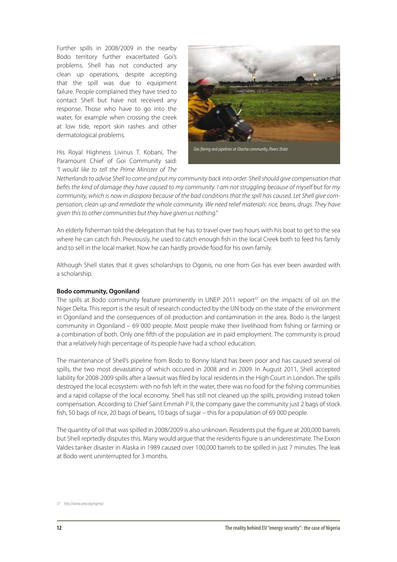Further spills in 2008/2009 in the nearby Bodo territory further exacerbated Goi's problems. Shell has not conducted any clean up operations, despite accepting that the spill was due to equipment failure. People complained they have tried to contact Shell but have not received any response. Those who have to go into the water, for example when crossing the creek at low tide, report skin rashes and other dermatological problems.

His Royal Highness Livinus T. Kobani, The Paramount Chief of Goi Community said: "I would like to tell the Prime Minister of The



Netherlands to advise Shell to come and put my community back into order. Shell should give compensation that befits the kind of damage they have caused to my community. I am not struggling because of myself but for my community, which is now in diaspora because of the bad conditions that the spill has caused. Let Shell give compensation, clean up and remediate the whole community. We need relief materials: rice, beans, drugs. They have given this to other communities but they have given us nothing."

An elderly fisherman told the delegation that he has to travel over two hours with his boat to get to the sea where he can catch fish. Previously, he used to catch enough fish in the local Creek both to feed his family and to sell in the local market. Now he can hardly provide food for his own family.

Although Shell states that it gives scholarships to Ogonis, no one from Goi has ever been awarded with a scholarship.

#### **Bodo community, Ogoniland**

The spills at Bodo community feature prominently in UNEP 2011 report<sup>37</sup> on the impacts of oil on the Niger Delta. This report is the result of research conducted by the UN body on the state of the environment in Ogoniland and the consequences of oil production and contamination in the area. Bodo is the largest community in Ogoniland – 69 000 people. Most people make their livelihood from fishing or farming or a combination of both. Only one fifth of the population are in paid employment. The community is proud that a relatively high percentage of its people have had a school education.

The maintenance of Shell's pipeline from Bodo to Bonny Island has been poor and has caused several oil spills, the two most devastating of which occured in 2008 and in 2009. In August 2011, Shell accepted liability for 2008-2009 spills after a lawsuit was filed by local residents in the High Court in London. The spills destroyed the local ecosystem: with no fish left in the water, there was no food for the fishing communities and a rapid collapse of the local economy. Shell has still not cleaned up the spills, providing instead token compensation. According to Chief Saint Emmah P II, the company gave the community just 2 bags of stock fish, 50 bags of rice, 20 bags of beans, 10 bags of sugar – this for a population of 69 000 people.

The quantity of oil that was spilled in 2008/2009 is also unknown. Residents put the figure at 200,000 barrels but Shell reprtedly disputes this. Many would argue that the residents figure is an underestimate. The Exxon Valdes tanker disaster in Alaska in 1989 caused over 100,000 barrels to be spilled in just 7 minutes. The leak at Bodo went uninterrupted for 3 months.

<sup>37</sup> http://www.unep.org/nigeria/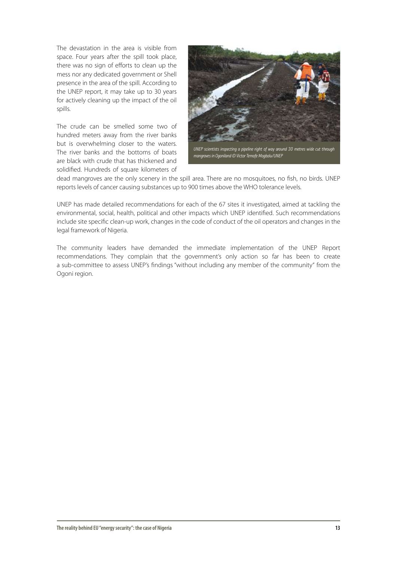The devastation in the area is visible from space. Four years after the spill took place. there was no sign of efforts to clean up the mess nor any dedicated government or Shell presence in the area of the spill. According to the UNEP report, it may take up to 30 years for actively cleaning up the impact of the oil spills.

The crude can be smelled some two of hundred meters away from the river banks but is overwhelming closer to the waters. The river banks and the bottoms of boats are black with crude that has thickened and solidified. Hundreds of square kilometers of



dead mangroves are the only scenery in the spill area. There are no mosquitoes, no fish, no birds. UNEP reports levels of cancer causing substances up to 900 times above the WHO tolerance levels.

UNEP has made detailed recommendations for each of the 67 sites it investigated, aimed at tackling the environmental, social, health, political and other impacts which UNEP identified. Such recommendations include site specific clean-up work, changes in the code of conduct of the oil operators and changes in the legal framework of Nigeria.

The community leaders have demanded the immediate implementation of the UNEP Report recommendations. They complain that the government's only action so far has been to create a sub-committee to assess UNEP's findings "without including any member of the community" from the Ogoni region.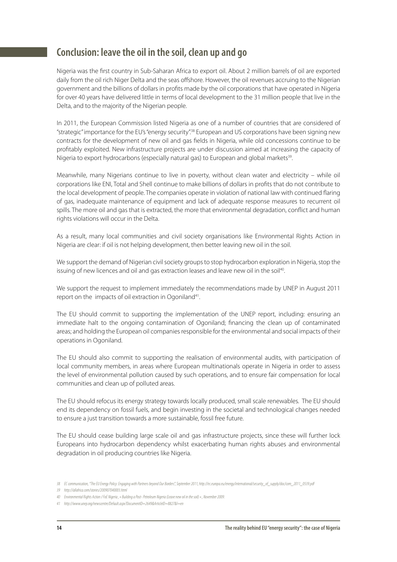## **Conclusion: leave the oil in the soil, clean up and go**

Nigeria was the first country in Sub-Saharan Africa to export oil. About 2 million barrels of oil are exported daily from the oil rich Niger Delta and the seas offshore. However, the oil revenues accruing to the Nigerian government and the billions of dollars in profits made by the oil corporations that have operated in Nigeria for over 40 years have delivered little in terms of local development to the 31 million people that live in the Delta, and to the majority of the Nigerian people.

In 2011, the European Commission listed Nigeria as one of a number of countries that are considered of "strategic" importance for the EU's "energy security".38 European and US corporations have been signing new contracts for the development of new oil and gas fields in Nigeria, while old concessions continue to be profitably exploited. New infrastructure projects are under discussion aimed at increasing the capacity of Nigeria to export hydrocarbons (especially natural gas) to European and global markets<sup>39</sup>.

Meanwhile, many Nigerians continue to live in poverty, without clean water and electricity – while oil corporations like ENI, Total and Shell continue to make billions of dollars in profits that do not contribute to the local development of people. The companies operate in violation of national law with continued flaring of gas, inadequate maintenance of equipment and lack of adequate response measures to recurrent oil spills. The more oil and gas that is extracted, the more that environmental degradation, conflict and human rights violations will occur in the Delta.

As a result, many local communities and civil society organisations like Environmental Rights Action in Nigeria are clear: if oil is not helping development, then better leaving new oil in the soil.

We support the demand of Nigerian civil society groups to stop hydrocarbon exploration in Nigeria, stop the issuing of new licences and oil and gas extraction leases and leave new oil in the soil<sup>40</sup>.

We support the request to implement immediately the recommendations made by UNEP in August 2011 report on the impacts of oil extraction in Ogoniland<sup>41</sup>.

The EU should commit to supporting the implementation of the UNEP report, including: ensuring an immediate halt to the ongoing contamination of Ogoniland; financing the clean up of contaminated areas; and holding the European oil companies responsible for the environmental and social impacts of their operations in Ogoniland.

The EU should also commit to supporting the realisation of environmental audits, with participation of local community members, in areas where European multinationals operate in Nigeria in order to assess the level of environmental pollution caused by such operations, and to ensure fair compensation for local communities and clean up of polluted areas.

The EU should refocus its energy strategy towards locally produced, small scale renewables. The EU should end its dependency on fossil fuels, and begin investing in the societal and technological changes needed to ensure a just transition towards a more sustainable, fossil free future.

The EU should cease building large scale oil and gas infrastructure projects, since these will further lock Europeans into hydrocarbon dependency whilst exacerbating human rights abuses and environmental degradation in oil producing countries like Nigeria.

<sup>38</sup> EC communication, "The EU Energy Policy: Engaging with Partners beyond Our Borders", September 2011, http://ec.europa.eu/energy/international/security\_of\_supply/doc/com\_2011\_0539.pdf

<sup>39</sup> http://allafrica.com/stories/200907040003.html

<sup>40</sup> Environmental Rights Action / FoE Nigeria , « Building a Post- Petroleum Nigeria (Leave new oil in the soil) » , November 2009.

<sup>41</sup> http://www.unep.org/newscentre/Default.aspx?DocumentID=2649&ArticleID=8827&l=en